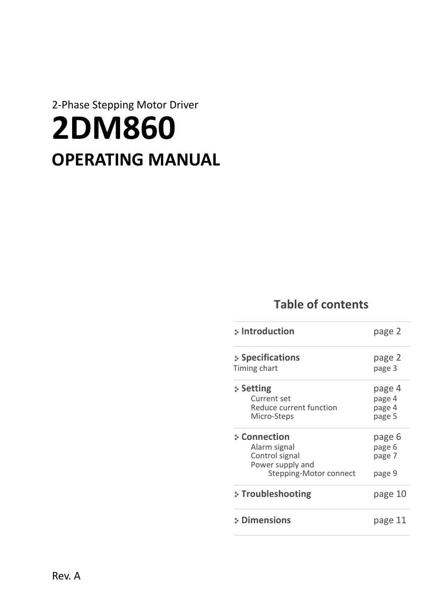# 2-Phase Stepping Motor Driver **2DM860 OPERATING MANUAL**

### **Table of contents**

| :- Introduction                                                                              | page 2                               |
|----------------------------------------------------------------------------------------------|--------------------------------------|
| Specifications<br>Timing chart                                                               | page 2<br>page 3                     |
| : Setting<br>Current set<br><b>Reduce current function</b><br>Micro-Steps                    | page 4<br>page 4<br>page 4<br>page 5 |
| : Connection<br>Alarm signal<br>Control signal<br>Power supply and<br>Stepping-Motor connect | page 6<br>page 6<br>page 7<br>page 9 |
| :- Troubleshooting                                                                           | page 10                              |
| : Dimensions                                                                                 | page 11                              |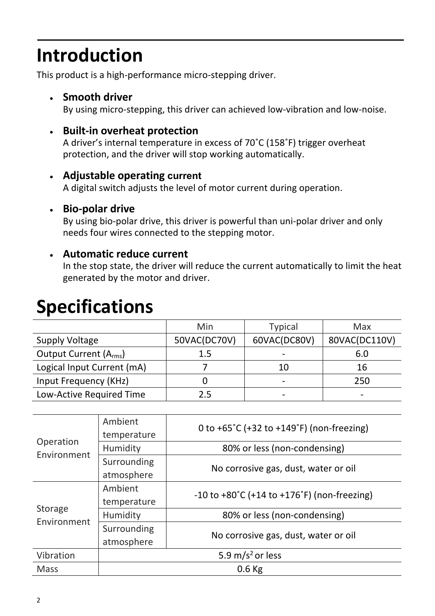# **Introduction**

This product is a high-performance micro-stepping driver.

#### • **Smooth driver**

By using micro-stepping, this driver can achieved low-vibration and low-noise.

#### • **Built-in overheat protection**

A driver's internal temperature in excess of 70˚C (158˚F) trigger overheat protection, and the driver will stop working automatically.

#### • **Adjustable operating current**

A digital switch adjusts the level of motor current during operation.

#### • **Bio-polar drive**

By using bio-polar drive, this driver is powerful than uni-polar driver and only needs four wires connected to the stepping motor.

#### • **Automatic reduce current**

In the stop state, the driver will reduce the current automatically to limit the heat generated by the motor and driver.

### **Specifications**

|                                    | Min          | <b>Typical</b> | Max           |
|------------------------------------|--------------|----------------|---------------|
| <b>Supply Voltage</b>              | 50VAC(DC70V) | 60VAC(DC80V)   | 80VAC(DC110V) |
| Output Current (A <sub>rms</sub> ) | 1.5          |                | 6.0           |
| Logical Input Current (mA)         |              | 10             | 16            |
| Input Frequency (KHz)              |              |                | 250           |
| Low-Active Required Time           | 25           |                |               |

| Operation<br>Environment | Ambient<br>temperature       | 0 to +65 $^{\circ}$ C (+32 to +149 $^{\circ}$ F) (non-freezing)   |  |
|--------------------------|------------------------------|-------------------------------------------------------------------|--|
|                          | Humidity                     | 80% or less (non-condensing)                                      |  |
|                          | Surrounding                  | No corrosive gas, dust, water or oil                              |  |
|                          | atmosphere                   |                                                                   |  |
|                          | Ambient                      | $-10$ to $+80^{\circ}$ C (+14 to $+176^{\circ}$ F) (non-freezing) |  |
|                          | temperature                  |                                                                   |  |
| Storage<br>Environment   | Humidity                     | 80% or less (non-condensing)                                      |  |
|                          | Surrounding                  | No corrosive gas, dust, water or oil                              |  |
|                          | atmosphere                   |                                                                   |  |
| Vibration                | 5.9 m/s <sup>2</sup> or less |                                                                   |  |
| <b>Mass</b>              | $0.6$ Kg                     |                                                                   |  |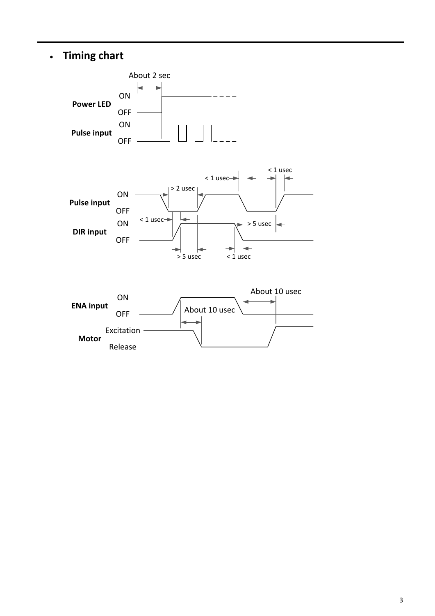### • **Timing chart**

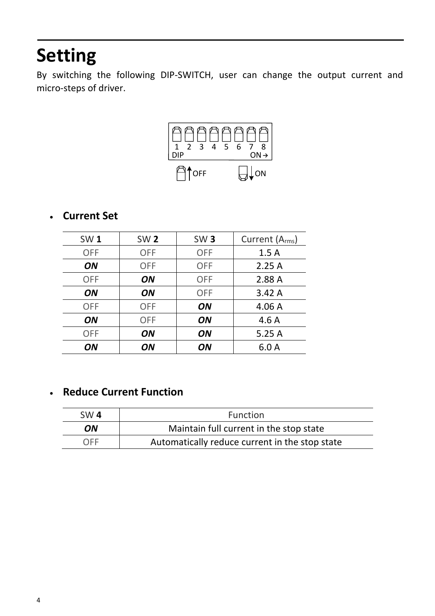# **Setting**

By switching the following DIP-SWITCH, user can change the output current and micro-steps of driver.



### • **Current Set**

| SW <sub>1</sub> | <b>SW2</b> | SW <sub>3</sub> | Current (A <sub>rms</sub> ) |
|-----------------|------------|-----------------|-----------------------------|
| <b>OFF</b>      | <b>OFF</b> | <b>OFF</b>      | 1.5A                        |
| ON              | <b>OFF</b> | <b>OFF</b>      | 2.25A                       |
| <b>OFF</b>      | ON         | <b>OFF</b>      | 2.88 A                      |
| ON              | ON         | <b>OFF</b>      | 3.42A                       |
| <b>OFF</b>      | <b>OFF</b> | ON              | 4.06A                       |
| ON              | <b>OFF</b> | ON              | 4.6A                        |
| <b>OFF</b>      | ON         | ON              | 5.25A                       |
| ON              | ON         | ON              | 6.0A                        |

#### • **Reduce Current Function**

| SW <sub>4</sub> | <b>Function</b>                                |  |
|-----------------|------------------------------------------------|--|
| ON              | Maintain full current in the stop state        |  |
| <b>OFF</b>      | Automatically reduce current in the stop state |  |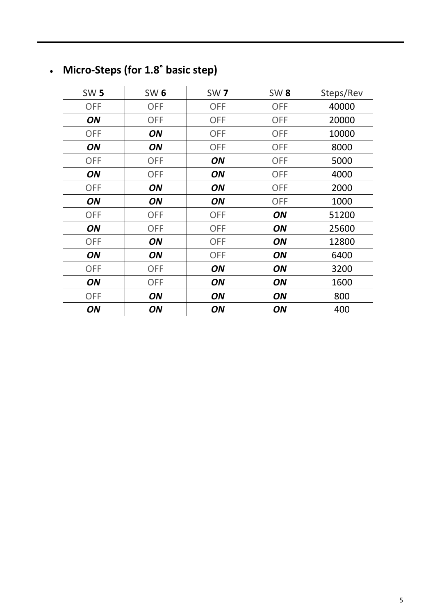### • **Micro-Steps (for 1.8˚ basic step)**

| <b>SW 5</b> | <b>SW 6</b> | <b>SW7</b> | <b>SW8</b> | Steps/Rev |
|-------------|-------------|------------|------------|-----------|
| <b>OFF</b>  | <b>OFF</b>  | <b>OFF</b> | <b>OFF</b> | 40000     |
| ON          | <b>OFF</b>  | <b>OFF</b> | <b>OFF</b> | 20000     |
| <b>OFF</b>  | ON          | <b>OFF</b> | <b>OFF</b> | 10000     |
| ON          | ON          | <b>OFF</b> | <b>OFF</b> | 8000      |
| <b>OFF</b>  | <b>OFF</b>  | ON         | <b>OFF</b> | 5000      |
| ON          | <b>OFF</b>  | ON         | <b>OFF</b> | 4000      |
| <b>OFF</b>  | ON          | ON         | <b>OFF</b> | 2000      |
| ON          | ON          | ON         | <b>OFF</b> | 1000      |
| <b>OFF</b>  | <b>OFF</b>  | <b>OFF</b> | ON         | 51200     |
| ON          | <b>OFF</b>  | <b>OFF</b> | ON         | 25600     |
| <b>OFF</b>  | ON          | <b>OFF</b> | ON         | 12800     |
| ON          | ON          | <b>OFF</b> | ON         | 6400      |
| <b>OFF</b>  | <b>OFF</b>  | ON         | ON         | 3200      |
| ON          | <b>OFF</b>  | ON         | ON         | 1600      |
| <b>OFF</b>  | ON          | ON         | ON         | 800       |
| ON          | ON          | ON         | ON         | 400       |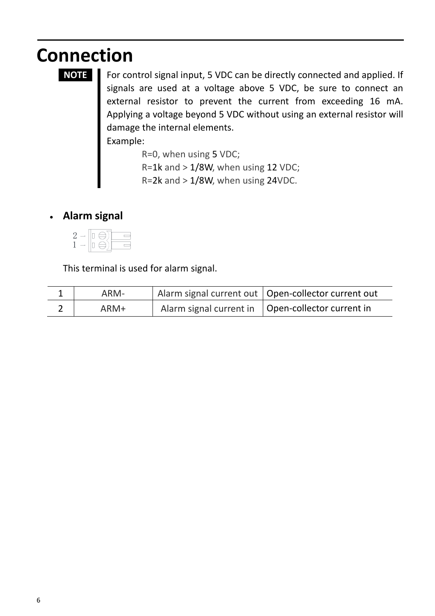# **Connection**

**NOTE** For control signal input, 5 VDC can be directly connected and applied. If signals are used at a voltage above 5 VDC, be sure to connect an external resistor to prevent the current from exceeding 16 mA. Applying a voltage beyond 5 VDC without using an external resistor will damage the internal elements.

Example:

R=0, when using 5 VDC;  $R=1k$  and  $>1/8W$ , when using 12 VDC; R=2k and  $> 1/8$ W, when using 24VDC.

### • **Alarm signal**



This terminal is used for alarm signal.

| ARM- | Alarm signal current out   Open-collector current out |
|------|-------------------------------------------------------|
| ARM+ | Alarm signal current in   Open-collector current in   |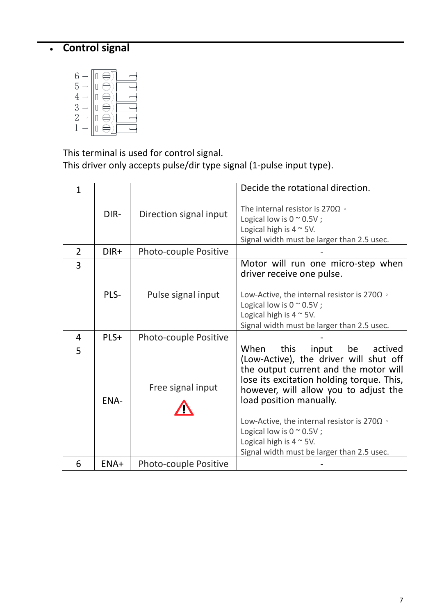### • **Control signal**

| 6<br>5<br>3<br>$\mathcal{D}$ |  |
|------------------------------|--|
|                              |  |

This terminal is used for control signal.

This driver only accepts pulse/dir type signal (1-pulse input type).

| $\mathbf{1}$   |        |                        | Decide the rotational direction.                                                                                                                                                                                                                                                                                                                                                                                         |
|----------------|--------|------------------------|--------------------------------------------------------------------------------------------------------------------------------------------------------------------------------------------------------------------------------------------------------------------------------------------------------------------------------------------------------------------------------------------------------------------------|
|                | DIR-   | Direction signal input | The internal resistor is 270 $\Omega$ of<br>Logical low is $0 \approx 0.5V$ ;<br>Logical high is $4 \sim 5V$ .<br>Signal width must be larger than 2.5 usec.                                                                                                                                                                                                                                                             |
| $\overline{2}$ | $DIR+$ | Photo-couple Positive  |                                                                                                                                                                                                                                                                                                                                                                                                                          |
| 3              | PLS-   | Pulse signal input     | Motor will run one micro-step when<br>driver receive one pulse.<br>Low-Active, the internal resistor is 270 $\Omega$ $\circ$<br>Logical low is $0 \approx 0.5V$ ;<br>Logical high is $4 \sim 5V$ .<br>Signal width must be larger than 2.5 usec.                                                                                                                                                                         |
| 4              | PLS+   | Photo-couple Positive  |                                                                                                                                                                                                                                                                                                                                                                                                                          |
| 5              | ENA-   | Free signal input      | this<br>When<br>input<br>be<br>actived<br>(Low-Active), the driver will shut off<br>the output current and the motor will<br>lose its excitation holding torque. This,<br>however, will allow you to adjust the<br>load position manually.<br>Low-Active, the internal resistor is 270 $\Omega$ $\circ$<br>Logical low is $0 \sim 0.5V$ ;<br>Logical high is $4 \sim 5V$ .<br>Signal width must be larger than 2.5 usec. |
| 6              | ENA+   | Photo-couple Positive  |                                                                                                                                                                                                                                                                                                                                                                                                                          |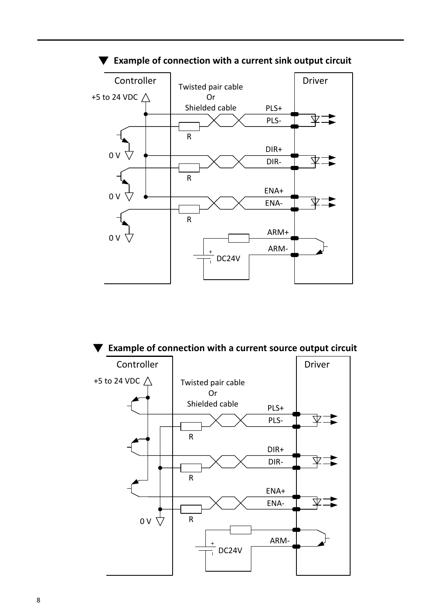

#### $\blacktriangledown$  Example of connection with a current sink output circuit

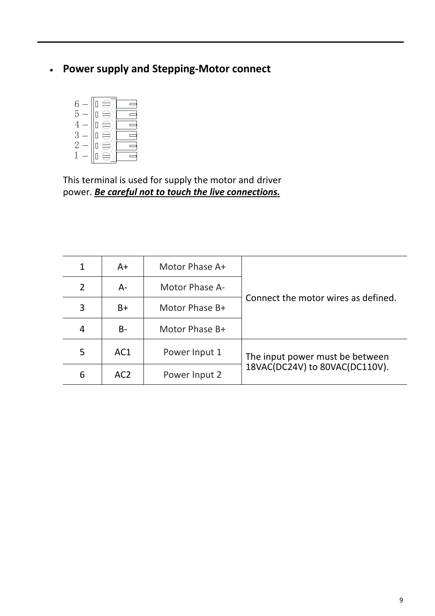#### • **Power supply and Stepping-Motor connect**



This terminal is used for supply the motor and driver power. *Be careful not to touch the live connections.*

| $\mathbf{1}$ | $A+$            | Motor Phase A+ |                                     |
|--------------|-----------------|----------------|-------------------------------------|
| 2            | A-              | Motor Phase A- |                                     |
| 3            | $B+$            | Motor Phase B+ | Connect the motor wires as defined. |
| 4            | $B -$           | Motor Phase B+ |                                     |
| 5            | AC1             | Power Input 1  | The input power must be between     |
| 6            | AC <sub>2</sub> | Power Input 2  | 18VAC(DC24V) to 80VAC(DC110V).      |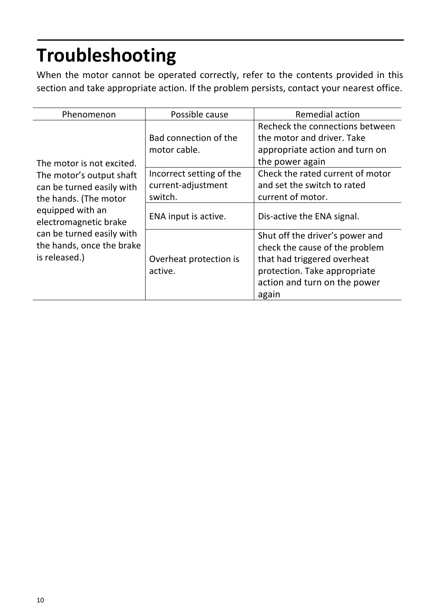# **Troubleshooting**

When the motor cannot be operated correctly, refer to the contents provided in this section and take appropriate action. If the problem persists, contact your nearest office.

| Phenomenon                                                                                                                                               | Possible cause                                            | <b>Remedial action</b>                                                                                                                                                    |
|----------------------------------------------------------------------------------------------------------------------------------------------------------|-----------------------------------------------------------|---------------------------------------------------------------------------------------------------------------------------------------------------------------------------|
| The motor is not excited.<br>The motor's output shaft<br>can be turned easily with<br>the hands. (The motor<br>equipped with an<br>electromagnetic brake | Bad connection of the<br>motor cable.                     | Recheck the connections between<br>the motor and driver. Take<br>appropriate action and turn on<br>the power again                                                        |
|                                                                                                                                                          | Incorrect setting of the<br>current-adjustment<br>switch. | Check the rated current of motor<br>and set the switch to rated<br>current of motor.                                                                                      |
|                                                                                                                                                          | ENA input is active.                                      | Dis-active the ENA signal.                                                                                                                                                |
| can be turned easily with<br>the hands, once the brake<br>is released.)                                                                                  | Overheat protection is<br>active.                         | Shut off the driver's power and<br>check the cause of the problem<br>that had triggered overheat<br>protection. Take appropriate<br>action and turn on the power<br>again |